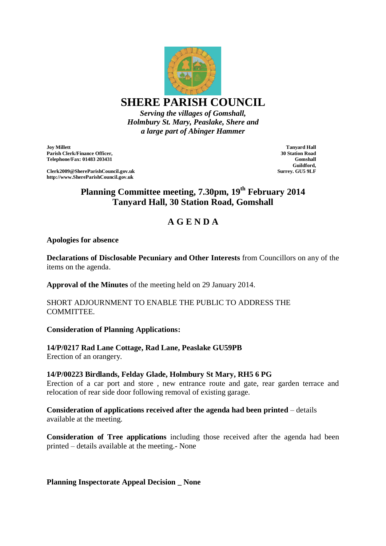

**SHERE PARISH COUNCIL**

*Serving the villages of Gomshall, Holmbury St. Mary, Peaslake, Shere and a large part of Abinger Hammer*

**Joy Millett Parish Clerk/Finance Officer, Telephone/Fax: 01483 203431**

**Clerk2009@ShereParishCouncil.gov.uk http://www.ShereParishCouncil.gov.uk**

**Tanyard Hall 30 Station Road Gomshall Guildford, Surrey. GU5 9LF**

# **Planning Committee meeting, 7.30pm, 19 th February 2014 Tanyard Hall, 30 Station Road, Gomshall**

# **A G E N D A**

### **Apologies for absence**

**Declarations of Disclosable Pecuniary and Other Interests** from Councillors on any of the items on the agenda.

**Approval of the Minutes** of the meeting held on 29 January 2014.

### SHORT ADJOURNMENT TO ENABLE THE PUBLIC TO ADDRESS THE **COMMITTEE.**

## **Consideration of Planning Applications:**

# **14/P/0217 Rad Lane Cottage, Rad Lane, Peaslake GU59PB**

Erection of an orangery.

## **14/P/00223 Birdlands, Felday Glade, Holmbury St Mary, RH5 6 PG**

Erection of a car port and store , new entrance route and gate, rear garden terrace and relocation of rear side door following removal of existing garage.

### **Consideration of applications received after the agenda had been printed** – details available at the meeting.

**Consideration of Tree applications** including those received after the agenda had been printed – details available at the meeting.- None

**Planning Inspectorate Appeal Decision \_ None**